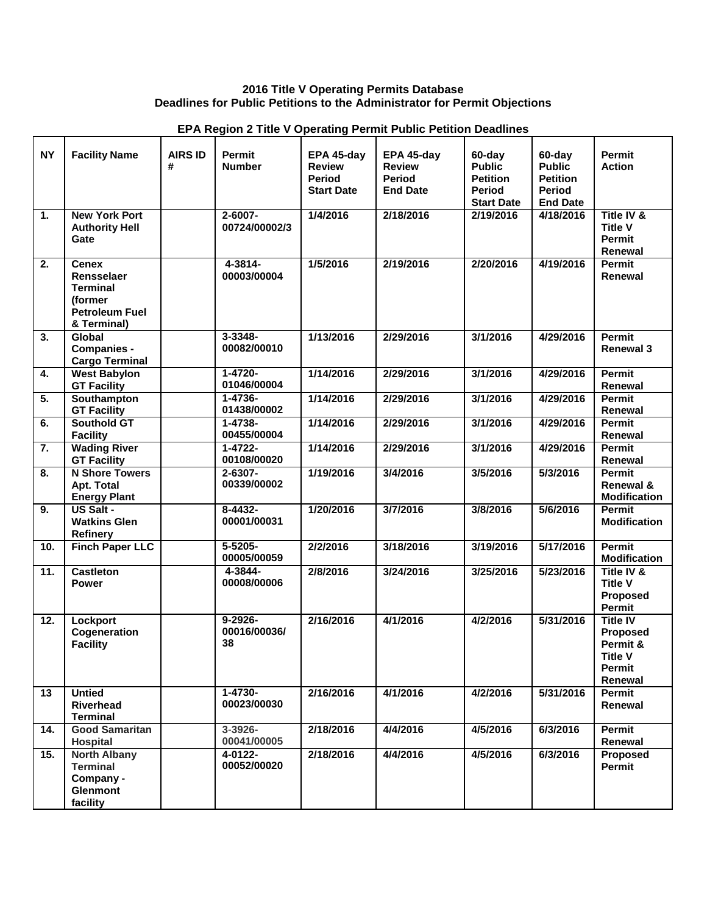## **2016 Title V Operating Permits Database Deadlines for Public Petitions to the Administrator for Permit Objections**

| <b>NY</b>        | <b>Facility Name</b>                                                                                     | <b>AIRS ID</b><br># | <b>Permit</b><br><b>Number</b>     | EPA 45-day<br><b>Review</b><br><b>Period</b><br><b>Start Date</b> | EPA 45-day<br><b>Review</b><br><b>Period</b><br><b>End Date</b> | 60-day<br><b>Public</b><br><b>Petition</b><br><b>Period</b><br><b>Start Date</b> | 60-day<br><b>Public</b><br><b>Petition</b><br><b>Period</b><br><b>End Date</b> | Permit<br><b>Action</b>                                                               |
|------------------|----------------------------------------------------------------------------------------------------------|---------------------|------------------------------------|-------------------------------------------------------------------|-----------------------------------------------------------------|----------------------------------------------------------------------------------|--------------------------------------------------------------------------------|---------------------------------------------------------------------------------------|
| $\overline{1}$ . | <b>New York Port</b><br><b>Authority Hell</b><br>Gate                                                    |                     | 2-6007-<br>00724/00002/3           | 1/4/2016                                                          | 2/18/2016                                                       | 2/19/2016                                                                        | 4/18/2016                                                                      | Title IV &<br><b>Title V</b><br>Permit<br>Renewal                                     |
| 2.               | <b>Cenex</b><br>Rensselaer<br><b>Terminal</b><br><i>(former)</i><br><b>Petroleum Fuel</b><br>& Terminal) |                     | 4-3814-<br>00003/00004             | 1/5/2016                                                          | 2/19/2016                                                       | 2/20/2016                                                                        | 4/19/2016                                                                      | Permit<br>Renewal                                                                     |
| 3.               | Global<br><b>Companies -</b><br><b>Cargo Terminal</b>                                                    |                     | $3 - 3348 -$<br>00082/00010        | 1/13/2016                                                         | 2/29/2016                                                       | 3/1/2016                                                                         | 4/29/2016                                                                      | <b>Permit</b><br><b>Renewal 3</b>                                                     |
| 4.               | <b>West Babylon</b><br><b>GT Facility</b>                                                                |                     | $1 - 4720 -$<br>01046/00004        | 1/14/2016                                                         | 2/29/2016                                                       | 3/1/2016                                                                         | 4/29/2016                                                                      | Permit<br>Renewal                                                                     |
| 5.               | Southampton<br><b>GT Facility</b>                                                                        |                     | $1 - 4736 -$<br>01438/00002        | 1/14/2016                                                         | 2/29/2016                                                       | 3/1/2016                                                                         | 4/29/2016                                                                      | Permit<br>Renewal                                                                     |
| 6.               | <b>Southold GT</b><br><b>Facility</b>                                                                    |                     | 1-4738-<br>00455/00004             | 1/14/2016                                                         | 2/29/2016                                                       | 3/1/2016                                                                         | 4/29/2016                                                                      | Permit<br>Renewal                                                                     |
| 7.               | <b>Wading River</b><br><b>GT Facility</b>                                                                |                     | $1 - 4722 -$<br>00108/00020        | 1/14/2016                                                         | 2/29/2016                                                       | 3/1/2016                                                                         | 4/29/2016                                                                      | Permit<br>Renewal                                                                     |
| 8.               | <b>N Shore Towers</b><br><b>Apt. Total</b><br><b>Energy Plant</b>                                        |                     | $2 - 6307 -$<br>00339/00002        | 1/19/2016                                                         | 3/4/2016                                                        | 3/5/2016                                                                         | 5/3/2016                                                                       | <b>Permit</b><br>Renewal &<br><b>Modification</b>                                     |
| 9.               | US Salt -<br><b>Watkins Glen</b><br><b>Refinery</b>                                                      |                     | $8-4432-$<br>00001/00031           | 1/20/2016                                                         | 3/7/2016                                                        | 3/8/2016                                                                         | 5/6/2016                                                                       | Permit<br><b>Modification</b>                                                         |
| 10.              | <b>Finch Paper LLC</b>                                                                                   |                     | $5 - 5205 -$<br>00005/00059        | 2/2/2016                                                          | 3/18/2016                                                       | 3/19/2016                                                                        | 5/17/2016                                                                      | Permit<br><b>Modification</b>                                                         |
| 11.              | <b>Castleton</b><br><b>Power</b>                                                                         |                     | 4-3844-<br>00008/00006             | 2/8/2016                                                          | 3/24/2016                                                       | 3/25/2016                                                                        | 5/23/2016                                                                      | Title IV &<br><b>Title V</b><br><b>Proposed</b><br>Permit                             |
| 12.              | Lockport<br>Cogeneration<br><b>Facility</b>                                                              |                     | $9 - 2926 -$<br>00016/00036/<br>38 | 2/16/2016                                                         | 4/1/2016                                                        | 4/2/2016                                                                         | 5/31/2016                                                                      | <b>Title IV</b><br><b>Proposed</b><br>Permit &<br><b>Title V</b><br>Permit<br>Renewal |
| 13               | <b>Untied</b><br><b>Riverhead</b><br><b>Terminal</b>                                                     |                     | $1 - 4730 -$<br>00023/00030        | 2/16/2016                                                         | 4/1/2016                                                        | 4/2/2016                                                                         | 5/31/2016                                                                      | Permit<br>Renewal                                                                     |
| 14.              | <b>Good Samaritan</b><br>Hospital                                                                        |                     | $3 - 3926 -$<br>00041/00005        | 2/18/2016                                                         | 4/4/2016                                                        | 4/5/2016                                                                         | 6/3/2016                                                                       | <b>Permit</b><br>Renewal                                                              |
| 15.              | <b>North Albany</b><br><b>Terminal</b><br>Company -<br><b>Glenmont</b><br>facility                       |                     | 4-0122-<br>00052/00020             | 2/18/2016                                                         | 4/4/2016                                                        | 4/5/2016                                                                         | 6/3/2016                                                                       | Proposed<br>Permit                                                                    |

## **EPA Region 2 Title V Operating Permit Public Petition Deadlines**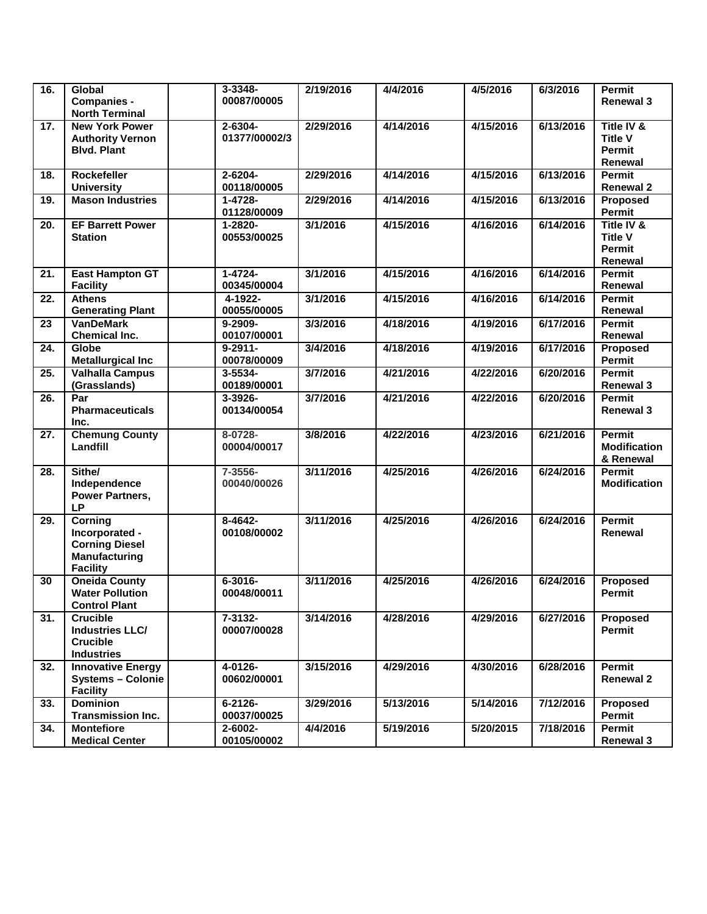| 16.               | Global<br><b>Companies -</b><br><b>North Terminal</b>                                                | $3 - 3348 -$<br>00087/00005   | 2/19/2016 | 4/4/2016  | 4/5/2016  | 6/3/2016  | <b>Permit</b><br><b>Renewal 3</b>                        |
|-------------------|------------------------------------------------------------------------------------------------------|-------------------------------|-----------|-----------|-----------|-----------|----------------------------------------------------------|
| 17.               | <b>New York Power</b><br><b>Authority Vernon</b><br><b>Blvd. Plant</b>                               | $2 - 6304 -$<br>01377/00002/3 | 2/29/2016 | 4/14/2016 | 4/15/2016 | 6/13/2016 | Title IV &<br><b>Title V</b><br><b>Permit</b><br>Renewal |
| 18.               | <b>Rockefeller</b><br><b>University</b>                                                              | 2-6204-<br>00118/00005        | 2/29/2016 | 4/14/2016 | 4/15/2016 | 6/13/2016 | <b>Permit</b><br><b>Renewal 2</b>                        |
| 19.               | <b>Mason Industries</b>                                                                              | $1 - 4728 -$<br>01128/00009   | 2/29/2016 | 4/14/2016 | 4/15/2016 | 6/13/2016 | Proposed<br>Permit                                       |
| 20.               | <b>EF Barrett Power</b><br><b>Station</b>                                                            | 1-2820-<br>00553/00025        | 3/1/2016  | 4/15/2016 | 4/16/2016 | 6/14/2016 | Title IV &<br><b>Title V</b><br><b>Permit</b><br>Renewal |
| $\overline{21}$ . | <b>East Hampton GT</b><br><b>Facility</b>                                                            | $1 - 4724 -$<br>00345/00004   | 3/1/2016  | 4/15/2016 | 4/16/2016 | 6/14/2016 | <b>Permit</b><br>Renewal                                 |
| 22.               | <b>Athens</b><br><b>Generating Plant</b>                                                             | 4-1922-<br>00055/00005        | 3/1/2016  | 4/15/2016 | 4/16/2016 | 6/14/2016 | Permit<br>Renewal                                        |
| 23                | <b>VanDeMark</b><br>Chemical Inc.                                                                    | 9-2909-<br>00107/00001        | 3/3/2016  | 4/18/2016 | 4/19/2016 | 6/17/2016 | Permit<br>Renewal                                        |
| 24.               | Globe<br><b>Metallurgical Inc</b>                                                                    | $9 - 2911 -$<br>00078/00009   | 3/4/2016  | 4/18/2016 | 4/19/2016 | 6/17/2016 | <b>Proposed</b><br>Permit                                |
| 25.               | <b>Valhalla Campus</b><br>(Grasslands)                                                               | $3 - 5534 -$<br>00189/00001   | 3/7/2016  | 4/21/2016 | 4/22/2016 | 6/20/2016 | Permit<br><b>Renewal 3</b>                               |
| 26.               | Par<br><b>Pharmaceuticals</b><br>Inc.                                                                | 3-3926-<br>00134/00054        | 3/7/2016  | 4/21/2016 | 4/22/2016 | 6/20/2016 | Permit<br><b>Renewal 3</b>                               |
| 27.               | <b>Chemung County</b><br>Landfill                                                                    | 8-0728-<br>00004/00017        | 3/8/2016  | 4/22/2016 | 4/23/2016 | 6/21/2016 | Permit<br><b>Modification</b><br>& Renewal               |
| 28.               | Sithe/<br>Independence<br>Power Partners,<br><b>LP</b>                                               | 7-3556-<br>00040/00026        | 3/11/2016 | 4/25/2016 | 4/26/2016 | 6/24/2016 | Permit<br><b>Modification</b>                            |
| 29.               | <b>Corning</b><br>Incorporated -<br><b>Corning Diesel</b><br><b>Manufacturing</b><br><b>Facility</b> | 8-4642-<br>00108/00002        | 3/11/2016 | 4/25/2016 | 4/26/2016 | 6/24/2016 | <b>Permit</b><br>Renewal                                 |
| 30                | <b>Oneida County</b><br><b>Water Pollution</b><br><b>Control Plant</b>                               | $6 - 3016 -$<br>00048/00011   | 3/11/2016 | 4/25/2016 | 4/26/2016 | 6/24/2016 | Proposed<br>Permit                                       |
| 31.               | <b>Crucible</b><br><b>Industries LLC/</b><br><b>Crucible</b><br><b>Industries</b>                    | 7-3132-<br>00007/00028        | 3/14/2016 | 4/28/2016 | 4/29/2016 | 6/27/2016 | Proposed<br>Permit                                       |
| 32.               | <b>Innovative Energy</b><br><b>Systems - Colonie</b><br><b>Facility</b>                              | 4-0126-<br>00602/00001        | 3/15/2016 | 4/29/2016 | 4/30/2016 | 6/28/2016 | <b>Permit</b><br><b>Renewal 2</b>                        |
| 33.               | <b>Dominion</b><br><b>Transmission Inc.</b>                                                          | $6 - 2126 -$<br>00037/00025   | 3/29/2016 | 5/13/2016 | 5/14/2016 | 7/12/2016 | Proposed<br>Permit                                       |
| 34.               | <b>Montefiore</b><br><b>Medical Center</b>                                                           | 2-6002-<br>00105/00002        | 4/4/2016  | 5/19/2016 | 5/20/2015 | 7/18/2016 | Permit<br><b>Renewal 3</b>                               |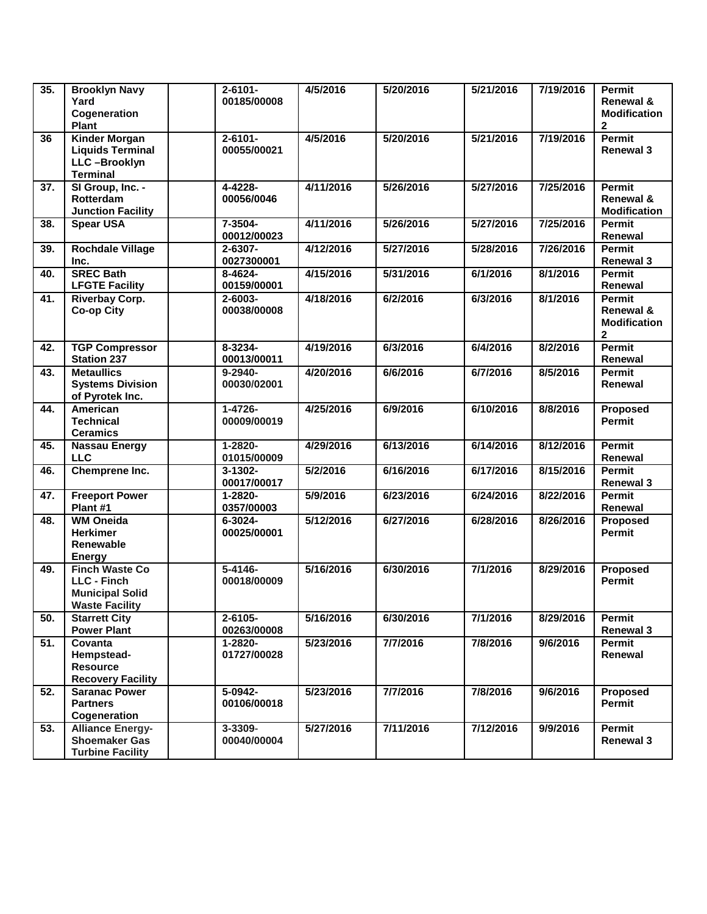| 35.               | <b>Brooklyn Navy</b><br>Yard<br>Cogeneration<br>Plant                                          | $2 - 6101 -$<br>00185/00008 | 4/5/2016  | 5/20/2016 | 5/21/2016 | 7/19/2016 | Permit<br>Renewal &<br><b>Modification</b><br>$\boldsymbol{2}$    |
|-------------------|------------------------------------------------------------------------------------------------|-----------------------------|-----------|-----------|-----------|-----------|-------------------------------------------------------------------|
| 36                | <b>Kinder Morgan</b><br><b>Liquids Terminal</b><br>LLC-Brooklyn<br><b>Terminal</b>             | $2 - 6101 -$<br>00055/00021 | 4/5/2016  | 5/20/2016 | 5/21/2016 | 7/19/2016 | <b>Permit</b><br><b>Renewal 3</b>                                 |
| 37.               | SI Group, Inc. -<br>Rotterdam<br><b>Junction Facility</b>                                      | 4-4228-<br>00056/0046       | 4/11/2016 | 5/26/2016 | 5/27/2016 | 7/25/2016 | Permit<br>Renewal &<br><b>Modification</b>                        |
| 38.               | <b>Spear USA</b>                                                                               | 7-3504-<br>00012/00023      | 4/11/2016 | 5/26/2016 | 5/27/2016 | 7/25/2016 | Permit<br>Renewal                                                 |
| 39.               | <b>Rochdale Village</b><br>Inc.                                                                | 2-6307-<br>0027300001       | 4/12/2016 | 5/27/2016 | 5/28/2016 | 7/26/2016 | <b>Permit</b><br><b>Renewal 3</b>                                 |
| 40.               | <b>SREC Bath</b><br><b>LFGTE Facility</b>                                                      | 8-4624-<br>00159/00001      | 4/15/2016 | 5/31/2016 | 6/1/2016  | 8/1/2016  | Permit<br>Renewal                                                 |
| 41.               | <b>Riverbay Corp.</b><br><b>Co-op City</b>                                                     | 2-6003-<br>00038/00008      | 4/18/2016 | 6/2/2016  | 6/3/2016  | 8/1/2016  | <b>Permit</b><br>Renewal &<br><b>Modification</b><br>$\mathbf{2}$ |
| 42.               | <b>TGP Compressor</b><br><b>Station 237</b>                                                    | 8-3234-<br>00013/00011      | 4/19/2016 | 6/3/2016  | 6/4/2016  | 8/2/2016  | <b>Permit</b><br>Renewal                                          |
| 43.               | <b>Metaullics</b><br><b>Systems Division</b><br>of Pyrotek Inc.                                | $9 - 2940 -$<br>00030/02001 | 4/20/2016 | 6/6/2016  | 6/7/2016  | 8/5/2016  | Permit<br>Renewal                                                 |
| 44.               | American<br><b>Technical</b><br><b>Ceramics</b>                                                | $1 - 4726 -$<br>00009/00019 | 4/25/2016 | 6/9/2016  | 6/10/2016 | 8/8/2016  | <b>Proposed</b><br><b>Permit</b>                                  |
| 45.               | <b>Nassau Energy</b><br><b>LLC</b>                                                             | 1-2820-<br>01015/00009      | 4/29/2016 | 6/13/2016 | 6/14/2016 | 8/12/2016 | Permit<br>Renewal                                                 |
| 46.               | Chemprene Inc.                                                                                 | 3-1302-<br>00017/00017      | 5/2/2016  | 6/16/2016 | 6/17/2016 | 8/15/2016 | Permit<br><b>Renewal 3</b>                                        |
| 47.               | <b>Freeport Power</b><br>Plant #1                                                              | 1-2820-<br>0357/00003       | 5/9/2016  | 6/23/2016 | 6/24/2016 | 8/22/2016 | Permit<br>Renewal                                                 |
| 48.               | <b>WM Oneida</b><br><b>Herkimer</b><br>Renewable<br><b>Energy</b>                              | 6-3024-<br>00025/00001      | 5/12/2016 | 6/27/2016 | 6/28/2016 | 8/26/2016 | Proposed<br><b>Permit</b>                                         |
| 49.               | <b>Finch Waste Co</b><br><b>LLC - Finch</b><br><b>Municipal Solid</b><br><b>Waste Facility</b> | $5 - 4146 -$<br>00018/00009 | 5/16/2016 | 6/30/2016 | 7/1/2016  | 8/29/2016 | <b>Proposed</b><br><b>Permit</b>                                  |
| 50.               | <b>Starrett City</b><br><b>Power Plant</b>                                                     | 2-6105-<br>00263/00008      | 5/16/2016 | 6/30/2016 | 7/1/2016  | 8/29/2016 | Permit<br><b>Renewal 3</b>                                        |
| $\overline{51}$ . | Covanta<br>Hempstead-<br><b>Resource</b><br><b>Recovery Facility</b>                           | 1-2820-<br>01727/00028      | 5/23/2016 | 7/7/2016  | 7/8/2016  | 9/6/2016  | Permit<br>Renewal                                                 |
| 52.               | <b>Saranac Power</b><br><b>Partners</b><br>Cogeneration                                        | 5-0942-<br>00106/00018      | 5/23/2016 | 7/7/2016  | 7/8/2016  | 9/6/2016  | Proposed<br>Permit                                                |
| 53.               | <b>Alliance Energy-</b><br><b>Shoemaker Gas</b><br><b>Turbine Facility</b>                     | 3-3309-<br>00040/00004      | 5/27/2016 | 7/11/2016 | 7/12/2016 | 9/9/2016  | Permit<br><b>Renewal 3</b>                                        |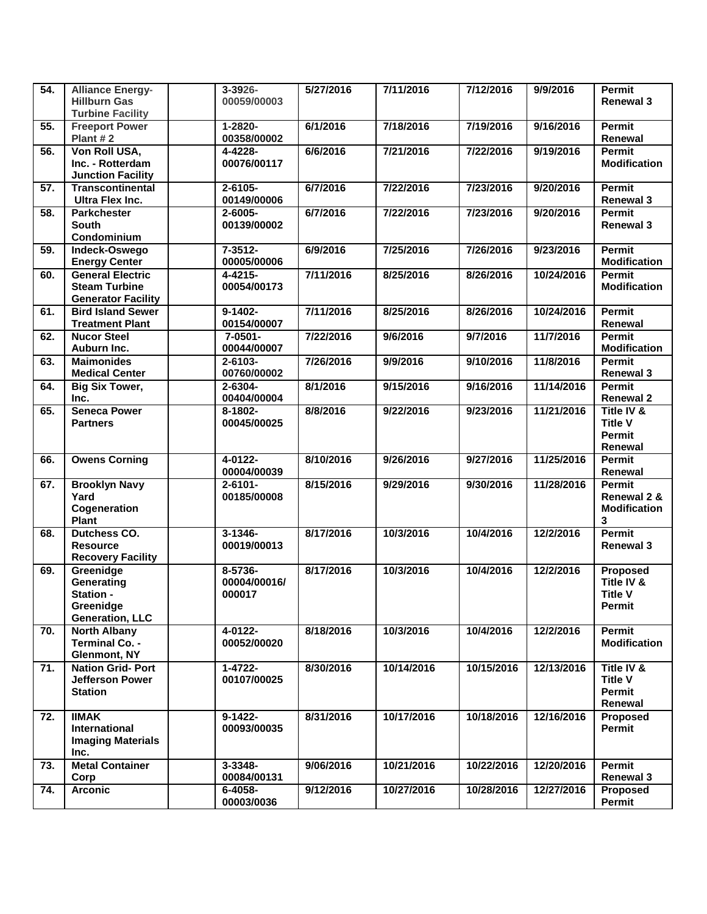| 54.               | <b>Alliance Energy-</b><br><b>Hillburn Gas</b><br><b>Turbine Facility</b>    | 3-3926-<br>00059/00003            | 5/27/2016 | 7/11/2016  | 7/12/2016  | 9/9/2016   | <b>Permit</b><br><b>Renewal 3</b>                         |
|-------------------|------------------------------------------------------------------------------|-----------------------------------|-----------|------------|------------|------------|-----------------------------------------------------------|
| 55.               | <b>Freeport Power</b><br>Plant #2                                            | 1-2820-<br>00358/00002            | 6/1/2016  | 7/18/2016  | 7/19/2016  | 9/16/2016  | <b>Permit</b><br>Renewal                                  |
| 56.               | Von Roll USA,<br>Inc. - Rotterdam<br><b>Junction Facility</b>                | 4-4228-<br>00076/00117            | 6/6/2016  | 7/21/2016  | 7/22/2016  | 9/19/2016  | Permit<br><b>Modification</b>                             |
| $\overline{57}$ . | <b>Transcontinental</b><br><b>Ultra Flex Inc.</b>                            | 2-6105-<br>00149/00006            | 6/7/2016  | 7/22/2016  | 7/23/2016  | 9/20/2016  | <b>Permit</b><br><b>Renewal 3</b>                         |
| 58.               | <b>Parkchester</b><br><b>South</b><br>Condominium                            | 2-6005-<br>00139/00002            | 6/7/2016  | 7/22/2016  | 7/23/2016  | 9/20/2016  | Permit<br><b>Renewal 3</b>                                |
| 59.               | Indeck-Oswego<br><b>Energy Center</b>                                        | $7 - 3512 -$<br>00005/00006       | 6/9/2016  | 7/25/2016  | 7/26/2016  | 9/23/2016  | <b>Permit</b><br><b>Modification</b>                      |
| 60.               | <b>General Electric</b><br><b>Steam Turbine</b><br><b>Generator Facility</b> | 4-4215-<br>00054/00173            | 7/11/2016 | 8/25/2016  | 8/26/2016  | 10/24/2016 | Permit<br><b>Modification</b>                             |
| 61.               | <b>Bird Island Sewer</b><br><b>Treatment Plant</b>                           | 9-1402-<br>00154/00007            | 7/11/2016 | 8/25/2016  | 8/26/2016  | 10/24/2016 | <b>Permit</b><br>Renewal                                  |
| 62.               | <b>Nucor Steel</b><br>Auburn Inc.                                            | 7-0501-<br>00044/00007            | 7/22/2016 | 9/6/2016   | 9/7/2016   | 11/7/2016  | Permit<br><b>Modification</b>                             |
| 63.               | <b>Maimonides</b><br><b>Medical Center</b>                                   | 2-6103-<br>00760/00002            | 7/26/2016 | 9/9/2016   | 9/10/2016  | 11/8/2016  | <b>Permit</b><br><b>Renewal 3</b>                         |
| 64.               | <b>Big Six Tower,</b><br>Inc.                                                | $2 - 6304 -$<br>00404/00004       | 8/1/2016  | 9/15/2016  | 9/16/2016  | 11/14/2016 | Permit<br><b>Renewal 2</b>                                |
| 65.               | <b>Seneca Power</b><br><b>Partners</b>                                       | 8-1802-<br>00045/00025            | 8/8/2016  | 9/22/2016  | 9/23/2016  | 11/21/2016 | Title IV &<br><b>Title V</b><br><b>Permit</b><br>Renewal  |
| 66.               | <b>Owens Corning</b>                                                         | 4-0122-<br>00004/00039            | 8/10/2016 | 9/26/2016  | 9/27/2016  | 11/25/2016 | <b>Permit</b><br>Renewal                                  |
| 67.               | <b>Brooklyn Navy</b><br>Yard<br>Cogeneration<br>Plant                        | $2 - 6101 -$<br>00185/00008       | 8/15/2016 | 9/29/2016  | 9/30/2016  | 11/28/2016 | <b>Permit</b><br>Renewal 2 &<br><b>Modification</b><br>3  |
| 68.               | <b>Dutchess CO.</b><br><b>Resource</b><br><b>Recovery Facility</b>           | $3 - 1346 -$<br>00019/00013       | 8/17/2016 | 10/3/2016  | 10/4/2016  | 12/2/2016  | <b>Permit</b><br><b>Renewal 3</b>                         |
| 69.               | Greenidge<br>Generating<br>Station -<br>Greenidge<br><b>Generation, LLC</b>  | 8-5736-<br>00004/00016/<br>000017 | 8/17/2016 | 10/3/2016  | 10/4/2016  | 12/2/2016  | Proposed<br>Title IV &<br><b>Title V</b><br><b>Permit</b> |
| 70.               | <b>North Albany</b><br>Terminal Co. -<br><b>Glenmont, NY</b>                 | 4-0122-<br>00052/00020            | 8/18/2016 | 10/3/2016  | 10/4/2016  | 12/2/2016  | Permit<br><b>Modification</b>                             |
| 71.               | <b>Nation Grid-Port</b><br>Jefferson Power<br><b>Station</b>                 | $1 - 4722 -$<br>00107/00025       | 8/30/2016 | 10/14/2016 | 10/15/2016 | 12/13/2016 | Title IV &<br><b>Title V</b><br>Permit<br>Renewal         |
| 72.               | <b>IIMAK</b><br>International<br><b>Imaging Materials</b><br>Inc.            | $9-1422-$<br>00093/00035          | 8/31/2016 | 10/17/2016 | 10/18/2016 | 12/16/2016 | Proposed<br>Permit                                        |
| 73.               | <b>Metal Container</b><br>Corp                                               | 3-3348-<br>00084/00131            | 9/06/2016 | 10/21/2016 | 10/22/2016 | 12/20/2016 | Permit<br><b>Renewal 3</b>                                |
| 74.               | <b>Arconic</b>                                                               | $6 - 4058 -$<br>00003/0036        | 9/12/2016 | 10/27/2016 | 10/28/2016 | 12/27/2016 | Proposed<br>Permit                                        |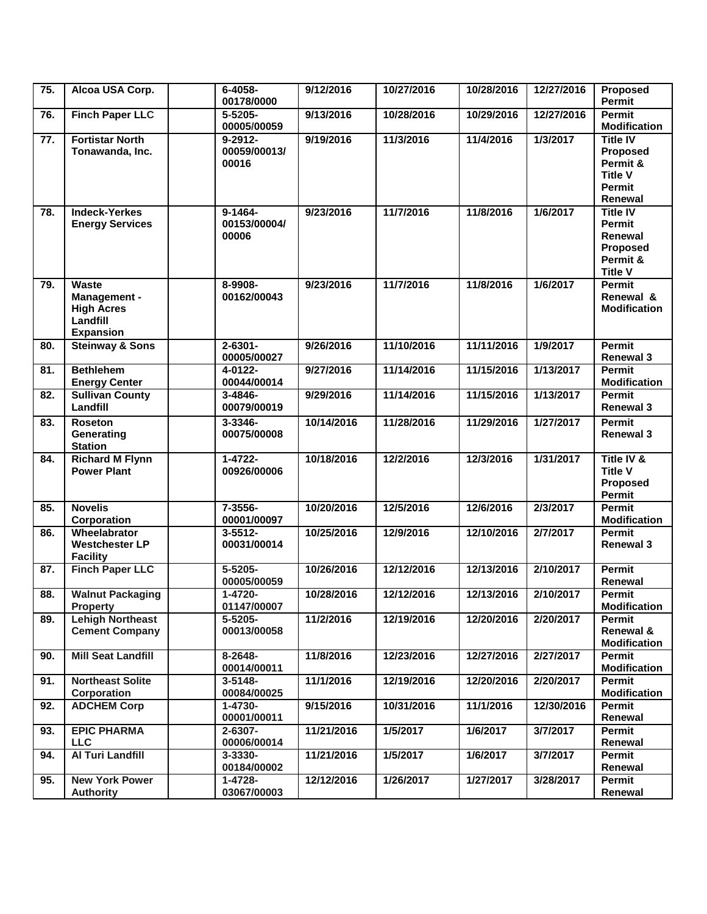| 75. | Alcoa USA Corp.                                                                   | 6-4058-<br>00178/0000                 | 9/12/2016  | 10/27/2016 | 10/28/2016 | 12/27/2016 | Proposed<br><b>Permit</b>                                                             |
|-----|-----------------------------------------------------------------------------------|---------------------------------------|------------|------------|------------|------------|---------------------------------------------------------------------------------------|
| 76. | <b>Finch Paper LLC</b>                                                            | 5-5205-<br>00005/00059                | 9/13/2016  | 10/28/2016 | 10/29/2016 | 12/27/2016 | Permit<br><b>Modification</b>                                                         |
| 77. | <b>Fortistar North</b><br>Tonawanda, Inc.                                         | $9 - 2912 -$<br>00059/00013/<br>00016 | 9/19/2016  | 11/3/2016  | 11/4/2016  | 1/3/2017   | <b>Title IV</b><br>Proposed<br>Permit &<br><b>Title V</b><br><b>Permit</b><br>Renewal |
| 78. | <b>Indeck-Yerkes</b><br><b>Energy Services</b>                                    | $9 - 1464 -$<br>00153/00004/<br>00006 | 9/23/2016  | 11/7/2016  | 11/8/2016  | 1/6/2017   | <b>Title IV</b><br><b>Permit</b><br>Renewal<br>Proposed<br>Permit &<br><b>Title V</b> |
| 79. | <b>Waste</b><br>Management -<br><b>High Acres</b><br>Landfill<br><b>Expansion</b> | 8-9908-<br>00162/00043                | 9/23/2016  | 11/7/2016  | 11/8/2016  | 1/6/2017   | Permit<br>Renewal &<br><b>Modification</b>                                            |
| 80. | <b>Steinway &amp; Sons</b>                                                        | $2 - 6301 -$<br>00005/00027           | 9/26/2016  | 11/10/2016 | 11/11/2016 | 1/9/2017   | Permit<br><b>Renewal 3</b>                                                            |
| 81. | <b>Bethlehem</b><br><b>Energy Center</b>                                          | 4-0122-<br>00044/00014                | 9/27/2016  | 11/14/2016 | 11/15/2016 | 1/13/2017  | <b>Permit</b><br><b>Modification</b>                                                  |
| 82. | <b>Sullivan County</b><br>Landfill                                                | 3-4846-<br>00079/00019                | 9/29/2016  | 11/14/2016 | 11/15/2016 | 1/13/2017  | Permit<br><b>Renewal 3</b>                                                            |
| 83. | <b>Roseton</b><br>Generating<br><b>Station</b>                                    | 3-3346-<br>00075/00008                | 10/14/2016 | 11/28/2016 | 11/29/2016 | 1/27/2017  | Permit<br><b>Renewal 3</b>                                                            |
| 84. | <b>Richard M Flynn</b><br><b>Power Plant</b>                                      | $1 - 4722 -$<br>00926/00006           | 10/18/2016 | 12/2/2016  | 12/3/2016  | 1/31/2017  | Title IV &<br><b>Title V</b><br>Proposed<br><b>Permit</b>                             |
| 85. | <b>Novelis</b><br>Corporation                                                     | $7 - 3556 -$<br>00001/00097           | 10/20/2016 | 12/5/2016  | 12/6/2016  | 2/3/2017   | Permit<br><b>Modification</b>                                                         |
| 86. | Wheelabrator<br><b>Westchester LP</b><br><b>Facility</b>                          | $3 - 5512 -$<br>00031/00014           | 10/25/2016 | 12/9/2016  | 12/10/2016 | 2/7/2017   | <b>Permit</b><br><b>Renewal 3</b>                                                     |
| 87. | <b>Finch Paper LLC</b>                                                            | 5-5205-<br>00005/00059                | 10/26/2016 | 12/12/2016 | 12/13/2016 | 2/10/2017  | <b>Permit</b><br>Renewal                                                              |
| 88. | <b>Walnut Packaging</b><br><b>Property</b>                                        | 1-4720-<br>01147/00007                | 10/28/2016 | 12/12/2016 | 12/13/2016 | 2/10/2017  | Permit<br><b>Modification</b>                                                         |
| 89. | <b>Lehigh Northeast</b><br><b>Cement Company</b>                                  | $5 - 5205 -$<br>00013/00058           | 11/2/2016  | 12/19/2016 | 12/20/2016 | 2/20/2017  | Permit<br>Renewal &<br><b>Modification</b>                                            |
| 90. | <b>Mill Seat Landfill</b>                                                         | 8-2648-<br>00014/00011                | 11/8/2016  | 12/23/2016 | 12/27/2016 | 2/27/2017  | Permit<br><b>Modification</b>                                                         |
| 91. | <b>Northeast Solite</b><br>Corporation                                            | $3 - 5148 -$<br>00084/00025           | 11/1/2016  | 12/19/2016 | 12/20/2016 | 2/20/2017  | Permit<br><b>Modification</b>                                                         |
| 92. | <b>ADCHEM Corp</b>                                                                | $1 - 4730 -$<br>00001/00011           | 9/15/2016  | 10/31/2016 | 11/1/2016  | 12/30/2016 | Permit<br>Renewal                                                                     |
| 93. | <b>EPIC PHARMA</b><br><b>LLC</b>                                                  | 2-6307-<br>00006/00014                | 11/21/2016 | 1/5/2017   | 1/6/2017   | 3/7/2017   | Permit<br>Renewal                                                                     |
| 94. | <b>Al Turi Landfill</b>                                                           | 3-3330-<br>00184/00002                | 11/21/2016 | 1/5/2017   | 1/6/2017   | 3/7/2017   | Permit<br>Renewal                                                                     |
| 95. | <b>New York Power</b><br><b>Authority</b>                                         | 1-4728-<br>03067/00003                | 12/12/2016 | 1/26/2017  | 1/27/2017  | 3/28/2017  | Permit<br>Renewal                                                                     |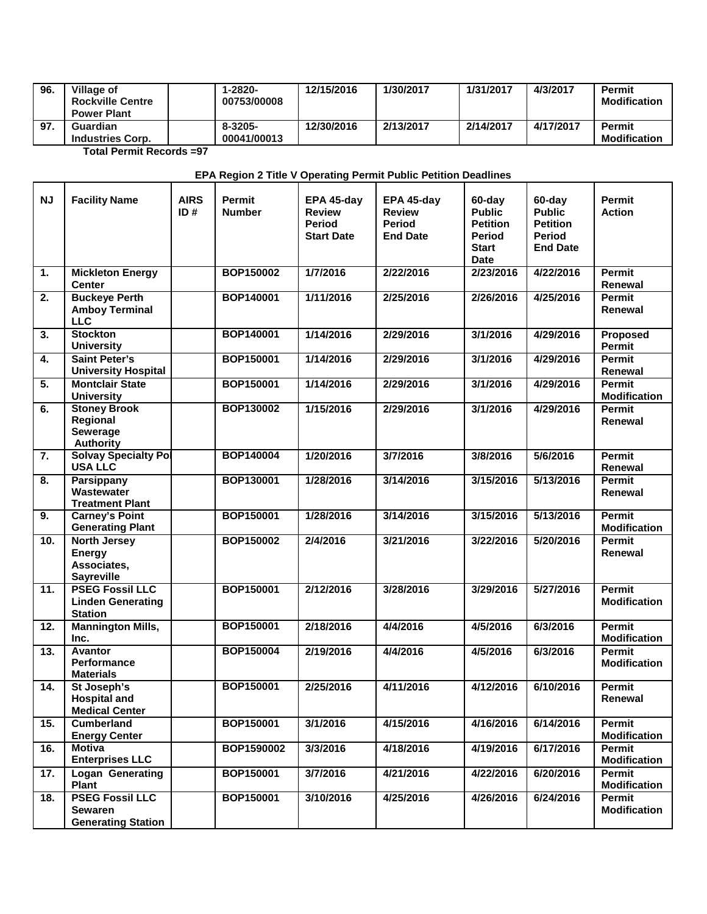| 96. | Village of<br><b>Rockville Centre</b><br><b>Power Plant</b> | $1 - 2820 -$<br>00753/00008 | 12/15/2016 | 1/30/2017 | 1/31/2017 | 4/3/2017  | <b>Permit</b><br><b>Modification</b> |
|-----|-------------------------------------------------------------|-----------------------------|------------|-----------|-----------|-----------|--------------------------------------|
| 97. | Guardian<br><b>Industries Corp.</b>                         | $8 - 3205 -$<br>00041/00013 | 12/30/2016 | 2/13/2017 | 2/14/2017 | 4/17/2017 | <b>Permit</b><br><b>Modification</b> |

**Total Permit Records =97**

 $\mathbf{r}$ 

┱

## **EPA Region 2 Title V Operating Permit Public Petition Deadlines**

| <b>NJ</b> | <b>Facility Name</b>                                                     | <b>AIRS</b><br>ID# | <b>Permit</b><br><b>Number</b> | EPA 45-day<br><b>Review</b><br>Period<br><b>Start Date</b> | EPA 45-day<br><b>Review</b><br><b>Period</b><br><b>End Date</b> | 60-day<br><b>Public</b><br><b>Petition</b><br>Period<br><b>Start</b><br><b>Date</b> | 60-day<br><b>Public</b><br><b>Petition</b><br><b>Period</b><br><b>End Date</b> | <b>Permit</b><br><b>Action</b>       |
|-----------|--------------------------------------------------------------------------|--------------------|--------------------------------|------------------------------------------------------------|-----------------------------------------------------------------|-------------------------------------------------------------------------------------|--------------------------------------------------------------------------------|--------------------------------------|
| 1.        | <b>Mickleton Energy</b><br><b>Center</b>                                 |                    | BOP150002                      | 1/7/2016                                                   | 2/22/2016                                                       | 2/23/2016                                                                           | 4/22/2016                                                                      | Permit<br>Renewal                    |
| 2.        | <b>Buckeye Perth</b><br><b>Amboy Terminal</b><br><b>LLC</b>              |                    | BOP140001                      | 1/11/2016                                                  | 2/25/2016                                                       | 2/26/2016                                                                           | 4/25/2016                                                                      | <b>Permit</b><br>Renewal             |
| 3.        | <b>Stockton</b><br><b>University</b>                                     |                    | BOP140001                      | 1/14/2016                                                  | 2/29/2016                                                       | 3/1/2016                                                                            | 4/29/2016                                                                      | Proposed<br><b>Permit</b>            |
| 4.        | <b>Saint Peter's</b><br><b>University Hospital</b>                       |                    | <b>BOP150001</b>               | 1/14/2016                                                  | 2/29/2016                                                       | 3/1/2016                                                                            | 4/29/2016                                                                      | Permit<br>Renewal                    |
| 5.        | <b>Montclair State</b><br><b>University</b>                              |                    | BOP150001                      | 1/14/2016                                                  | 2/29/2016                                                       | 3/1/2016                                                                            | 4/29/2016                                                                      | Permit<br><b>Modification</b>        |
| 6.        | <b>Stoney Brook</b><br>Regional<br>Sewerage<br><b>Authority</b>          |                    | <b>BOP130002</b>               | 1/15/2016                                                  | 2/29/2016                                                       | 3/1/2016                                                                            | 4/29/2016                                                                      | Permit<br>Renewal                    |
| 7.        | <b>Solvay Specialty Pol</b><br><b>USA LLC</b>                            |                    | <b>BOP140004</b>               | 1/20/2016                                                  | 3/7/2016                                                        | 3/8/2016                                                                            | 5/6/2016                                                                       | <b>Permit</b><br>Renewal             |
| 8.        | <b>Parsippany</b><br>Wastewater<br><b>Treatment Plant</b>                |                    | BOP130001                      | 1/28/2016                                                  | 3/14/2016                                                       | 3/15/2016                                                                           | 5/13/2016                                                                      | <b>Permit</b><br>Renewal             |
| 9.        | <b>Carney's Point</b><br><b>Generating Plant</b>                         |                    | <b>BOP150001</b>               | 1/28/2016                                                  | 3/14/2016                                                       | 3/15/2016                                                                           | 5/13/2016                                                                      | Permit<br><b>Modification</b>        |
| 10.       | <b>North Jersey</b><br><b>Energy</b><br>Associates,<br><b>Sayreville</b> |                    | <b>BOP150002</b>               | 2/4/2016                                                   | 3/21/2016                                                       | 3/22/2016                                                                           | 5/20/2016                                                                      | <b>Permit</b><br>Renewal             |
| 11.       | <b>PSEG Fossil LLC</b><br><b>Linden Generating</b><br><b>Station</b>     |                    | BOP150001                      | 2/12/2016                                                  | 3/28/2016                                                       | 3/29/2016                                                                           | 5/27/2016                                                                      | Permit<br><b>Modification</b>        |
| 12.       | <b>Mannington Mills,</b><br>Inc.                                         |                    | <b>BOP150001</b>               | 2/18/2016                                                  | 4/4/2016                                                        | 4/5/2016                                                                            | 6/3/2016                                                                       | Permit<br><b>Modification</b>        |
| 13.       | Avantor<br><b>Performance</b><br><b>Materials</b>                        |                    | BOP150004                      | 2/19/2016                                                  | 4/4/2016                                                        | 4/5/2016                                                                            | 6/3/2016                                                                       | <b>Permit</b><br><b>Modification</b> |
| 14.       | St Joseph's<br><b>Hospital and</b><br><b>Medical Center</b>              |                    | BOP150001                      | 2/25/2016                                                  | 4/11/2016                                                       | 4/12/2016                                                                           | 6/10/2016                                                                      | <b>Permit</b><br>Renewal             |
| 15.       | <b>Cumberland</b><br><b>Energy Center</b>                                |                    | <b>BOP150001</b>               | 3/1/2016                                                   | 4/15/2016                                                       | 4/16/2016                                                                           | 6/14/2016                                                                      | Permit<br><b>Modification</b>        |
| 16.       | <b>Motiva</b><br><b>Enterprises LLC</b>                                  |                    | BOP1590002                     | 3/3/2016                                                   | 4/18/2016                                                       | 4/19/2016                                                                           | 6/17/2016                                                                      | Permit<br><b>Modification</b>        |
| 17.       | <b>Logan Generating</b><br>Plant                                         |                    | BOP150001                      | 3/7/2016                                                   | 4/21/2016                                                       | 4/22/2016                                                                           | 6/20/2016                                                                      | Permit<br><b>Modification</b>        |
| 18.       | <b>PSEG Fossil LLC</b><br><b>Sewaren</b><br><b>Generating Station</b>    |                    | BOP150001                      | 3/10/2016                                                  | 4/25/2016                                                       | 4/26/2016                                                                           | 6/24/2016                                                                      | Permit<br><b>Modification</b>        |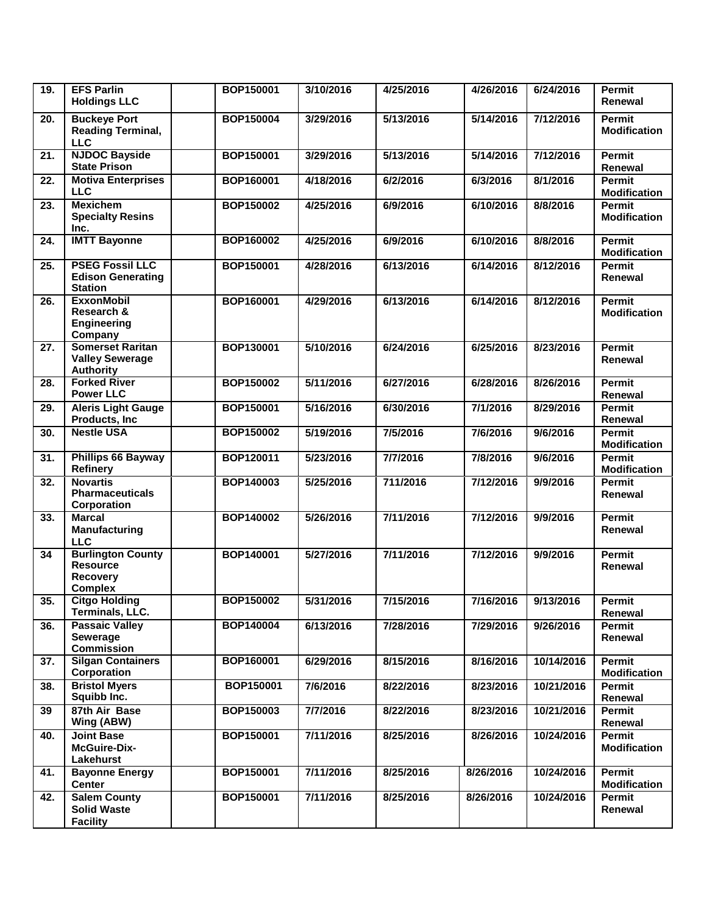| 19.               | <b>EFS Parlin</b><br><b>Holdings LLC</b>                                         | <b>BOP150001</b> | 3/10/2016 | 4/25/2016 | 4/26/2016 | 6/24/2016  | <b>Permit</b><br>Renewal             |
|-------------------|----------------------------------------------------------------------------------|------------------|-----------|-----------|-----------|------------|--------------------------------------|
| 20.               | <b>Buckeye Port</b><br><b>Reading Terminal,</b><br><b>LLC</b>                    | BOP150004        | 3/29/2016 | 5/13/2016 | 5/14/2016 | 7/12/2016  | Permit<br><b>Modification</b>        |
| $\overline{21}$ . | <b>NJDOC Bayside</b><br><b>State Prison</b>                                      | <b>BOP150001</b> | 3/29/2016 | 5/13/2016 | 5/14/2016 | 7/12/2016  | <b>Permit</b><br>Renewal             |
| 22.               | <b>Motiva Enterprises</b><br><b>LLC</b>                                          | BOP160001        | 4/18/2016 | 6/2/2016  | 6/3/2016  | 8/1/2016   | <b>Permit</b><br><b>Modification</b> |
| 23.               | <b>Mexichem</b><br><b>Specialty Resins</b><br>Inc.                               | BOP150002        | 4/25/2016 | 6/9/2016  | 6/10/2016 | 8/8/2016   | Permit<br><b>Modification</b>        |
| 24.               | <b>IMTT Bayonne</b>                                                              | BOP160002        | 4/25/2016 | 6/9/2016  | 6/10/2016 | 8/8/2016   | <b>Permit</b><br><b>Modification</b> |
| 25.               | <b>PSEG Fossil LLC</b><br><b>Edison Generating</b><br><b>Station</b>             | <b>BOP150001</b> | 4/28/2016 | 6/13/2016 | 6/14/2016 | 8/12/2016  | Permit<br>Renewal                    |
| 26.               | <b>ExxonMobil</b><br>Research &<br><b>Engineering</b><br>Company                 | <b>BOP160001</b> | 4/29/2016 | 6/13/2016 | 6/14/2016 | 8/12/2016  | Permit<br><b>Modification</b>        |
| 27.               | <b>Somerset Raritan</b><br><b>Valley Sewerage</b><br><b>Authority</b>            | BOP130001        | 5/10/2016 | 6/24/2016 | 6/25/2016 | 8/23/2016  | <b>Permit</b><br>Renewal             |
| $\overline{28}$ . | <b>Forked River</b><br><b>Power LLC</b>                                          | <b>BOP150002</b> | 5/11/2016 | 6/27/2016 | 6/28/2016 | 8/26/2016  | Permit<br>Renewal                    |
| 29.               | <b>Aleris Light Gauge</b><br>Products, Inc.                                      | BOP150001        | 5/16/2016 | 6/30/2016 | 7/1/2016  | 8/29/2016  | <b>Permit</b><br>Renewal             |
| 30.               | <b>Nestle USA</b>                                                                | BOP150002        | 5/19/2016 | 7/5/2016  | 7/6/2016  | 9/6/2016   | Permit<br><b>Modification</b>        |
| 31.               | <b>Phillips 66 Bayway</b><br><b>Refinery</b>                                     | BOP120011        | 5/23/2016 | 7/7/2016  | 7/8/2016  | 9/6/2016   | <b>Permit</b><br><b>Modification</b> |
| 32.               | <b>Novartis</b><br><b>Pharmaceuticals</b><br>Corporation                         | BOP140003        | 5/25/2016 | 711/2016  | 7/12/2016 | 9/9/2016   | Permit<br>Renewal                    |
| 33.               | <b>Marcal</b><br>Manufacturing<br><b>LLC</b>                                     | <b>BOP140002</b> | 5/26/2016 | 7/11/2016 | 7/12/2016 | 9/9/2016   | Permit<br>Renewal                    |
| 34                | <b>Burlington County</b><br><b>Resource</b><br><b>Recovery</b><br><b>Complex</b> | <b>BOP140001</b> | 5/27/2016 | 7/11/2016 | 7/12/2016 | 9/9/2016   | <b>Permit</b><br>Renewal             |
| 35.               | <b>Citgo Holding</b><br>Terminals, LLC.                                          | <b>BOP150002</b> | 5/31/2016 | 7/15/2016 | 7/16/2016 | 9/13/2016  | Permit<br>Renewal                    |
| 36.               | <b>Passaic Valley</b><br>Sewerage<br><b>Commission</b>                           | BOP140004        | 6/13/2016 | 7/28/2016 | 7/29/2016 | 9/26/2016  | Permit<br>Renewal                    |
| 37.               | <b>Silgan Containers</b><br>Corporation                                          | BOP160001        | 6/29/2016 | 8/15/2016 | 8/16/2016 | 10/14/2016 | <b>Permit</b><br><b>Modification</b> |
| 38.               | <b>Bristol Myers</b><br>Squibb Inc.                                              | BOP150001        | 7/6/2016  | 8/22/2016 | 8/23/2016 | 10/21/2016 | Permit<br>Renewal                    |
| 39                | 87th Air Base<br>Wing (ABW)                                                      | BOP150003        | 7/7/2016  | 8/22/2016 | 8/23/2016 | 10/21/2016 | <b>Permit</b><br>Renewal             |
| 40.               | <b>Joint Base</b><br>McGuire-Dix-<br>Lakehurst                                   | BOP150001        | 7/11/2016 | 8/25/2016 | 8/26/2016 | 10/24/2016 | Permit<br><b>Modification</b>        |
| 41.               | <b>Bayonne Energy</b><br><b>Center</b>                                           | BOP150001        | 7/11/2016 | 8/25/2016 | 8/26/2016 | 10/24/2016 | Permit<br><b>Modification</b>        |
| 42.               | <b>Salem County</b><br><b>Solid Waste</b><br><b>Facility</b>                     | BOP150001        | 7/11/2016 | 8/25/2016 | 8/26/2016 | 10/24/2016 | Permit<br>Renewal                    |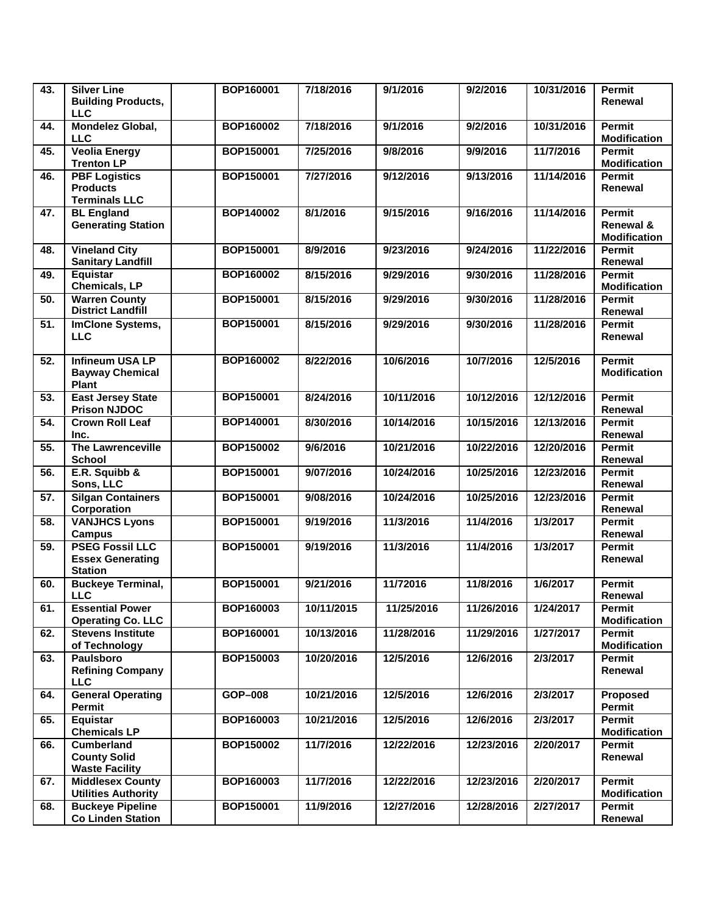| 43.               | <b>Silver Line</b><br><b>Building Products,</b><br><b>LLC</b>       | BOP160001        | 7/18/2016  | 9/1/2016   | 9/2/2016   | 10/31/2016 | Permit<br>Renewal                                 |
|-------------------|---------------------------------------------------------------------|------------------|------------|------------|------------|------------|---------------------------------------------------|
| 44.               | Mondelez Global,<br><b>LLC</b>                                      | <b>BOP160002</b> | 7/18/2016  | 9/1/2016   | 9/2/2016   | 10/31/2016 | <b>Permit</b><br><b>Modification</b>              |
| 45.               | <b>Veolia Energy</b><br><b>Trenton LP</b>                           | <b>BOP150001</b> | 7/25/2016  | 9/8/2016   | 9/9/2016   | 11/7/2016  | Permit<br><b>Modification</b>                     |
| 46.               | <b>PBF Logistics</b><br><b>Products</b><br><b>Terminals LLC</b>     | <b>BOP150001</b> | 7/27/2016  | 9/12/2016  | 9/13/2016  | 11/14/2016 | Permit<br>Renewal                                 |
| 47.               | <b>BL</b> England<br><b>Generating Station</b>                      | <b>BOP140002</b> | 8/1/2016   | 9/15/2016  | 9/16/2016  | 11/14/2016 | <b>Permit</b><br>Renewal &<br><b>Modification</b> |
| 48.               | <b>Vineland City</b><br><b>Sanitary Landfill</b>                    | <b>BOP150001</b> | 8/9/2016   | 9/23/2016  | 9/24/2016  | 11/22/2016 | Permit<br>Renewal                                 |
| 49.               | Equistar<br>Chemicals, LP                                           | <b>BOP160002</b> | 8/15/2016  | 9/29/2016  | 9/30/2016  | 11/28/2016 | <b>Permit</b><br><b>Modification</b>              |
| 50.               | <b>Warren County</b><br><b>District Landfill</b>                    | <b>BOP150001</b> | 8/15/2016  | 9/29/2016  | 9/30/2016  | 11/28/2016 | <b>Permit</b><br>Renewal                          |
| 51.               | <b>ImClone Systems,</b><br><b>LLC</b>                               | <b>BOP150001</b> | 8/15/2016  | 9/29/2016  | 9/30/2016  | 11/28/2016 | Permit<br>Renewal                                 |
| 52.               | <b>Infineum USA LP</b><br><b>Bayway Chemical</b><br>Plant           | BOP160002        | 8/22/2016  | 10/6/2016  | 10/7/2016  | 12/5/2016  | Permit<br><b>Modification</b>                     |
| 53.               | <b>East Jersey State</b><br><b>Prison NJDOC</b>                     | <b>BOP150001</b> | 8/24/2016  | 10/11/2016 | 10/12/2016 | 12/12/2016 | Permit<br>Renewal                                 |
| $\overline{54}$ . | <b>Crown Roll Leaf</b><br>Inc.                                      | BOP140001        | 8/30/2016  | 10/14/2016 | 10/15/2016 | 12/13/2016 | Permit<br>Renewal                                 |
| 55.               | <b>The Lawrenceville</b><br><b>School</b>                           | BOP150002        | 9/6/2016   | 10/21/2016 | 10/22/2016 | 12/20/2016 | Permit<br>Renewal                                 |
| 56.               | E.R. Squibb &<br>Sons, LLC                                          | BOP150001        | 9/07/2016  | 10/24/2016 | 10/25/2016 | 12/23/2016 | Permit<br>Renewal                                 |
| 57.               | <b>Silgan Containers</b><br>Corporation                             | <b>BOP150001</b> | 9/08/2016  | 10/24/2016 | 10/25/2016 | 12/23/2016 | Permit<br>Renewal                                 |
| 58.               | <b>VANJHCS Lyons</b><br><b>Campus</b>                               | BOP150001        | 9/19/2016  | 11/3/2016  | 11/4/2016  | 1/3/2017   | Permit<br>Renewal                                 |
| 59.               | <b>PSEG Fossil LLC</b><br><b>Essex Generating</b><br><b>Station</b> | BOP150001        | 9/19/2016  | 11/3/2016  | 11/4/2016  | 1/3/2017   | <b>Permit</b><br>Renewal                          |
| 60.               | <b>Buckeye Terminal,</b><br><b>LLC</b>                              | <b>BOP150001</b> | 9/21/2016  | 11/72016   | 11/8/2016  | 1/6/2017   | <b>Permit</b><br>Renewal                          |
| 61.               | <b>Essential Power</b><br><b>Operating Co. LLC</b>                  | BOP160003        | 10/11/2015 | 11/25/2016 | 11/26/2016 | 1/24/2017  | Permit<br><b>Modification</b>                     |
| 62.               | <b>Stevens Institute</b><br>of Technology                           | BOP160001        | 10/13/2016 | 11/28/2016 | 11/29/2016 | 1/27/2017  | Permit<br><b>Modification</b>                     |
| 63.               | <b>Paulsboro</b><br><b>Refining Company</b><br><b>LLC</b>           | BOP150003        | 10/20/2016 | 12/5/2016  | 12/6/2016  | 2/3/2017   | Permit<br>Renewal                                 |
| 64.               | <b>General Operating</b><br><b>Permit</b>                           | GOP-008          | 10/21/2016 | 12/5/2016  | 12/6/2016  | 2/3/2017   | Proposed<br>Permit                                |
| 65.               | Equistar<br><b>Chemicals LP</b>                                     | BOP160003        | 10/21/2016 | 12/5/2016  | 12/6/2016  | 2/3/2017   | <b>Permit</b><br><b>Modification</b>              |
| 66.               | <b>Cumberland</b><br><b>County Solid</b><br><b>Waste Facility</b>   | BOP150002        | 11/7/2016  | 12/22/2016 | 12/23/2016 | 2/20/2017  | Permit<br>Renewal                                 |
| 67.               | <b>Middlesex County</b><br><b>Utilities Authority</b>               | BOP160003        | 11/7/2016  | 12/22/2016 | 12/23/2016 | 2/20/2017  | Permit<br><b>Modification</b>                     |
| 68.               | <b>Buckeye Pipeline</b><br><b>Co Linden Station</b>                 | BOP150001        | 11/9/2016  | 12/27/2016 | 12/28/2016 | 2/27/2017  | Permit<br>Renewal                                 |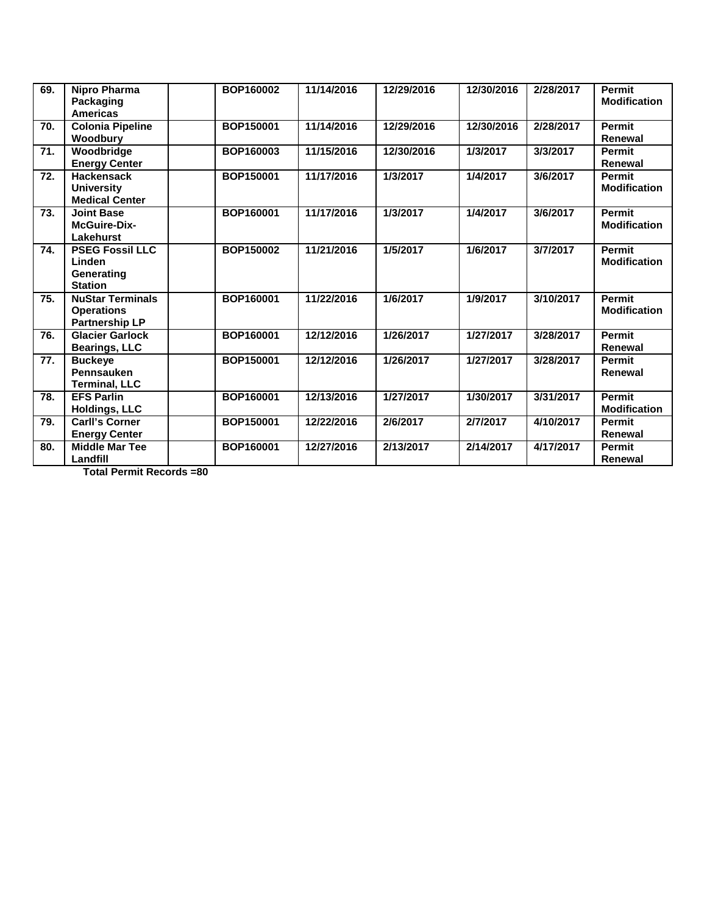| 69.               | Nipro Pharma<br>Packaging<br><b>Americas</b>                          | BOP160002 | 11/14/2016 | 12/29/2016 | 12/30/2016 | 2/28/2017 | <b>Permit</b><br><b>Modification</b> |
|-------------------|-----------------------------------------------------------------------|-----------|------------|------------|------------|-----------|--------------------------------------|
| 70.               | <b>Colonia Pipeline</b><br>Woodbury                                   | BOP150001 | 11/14/2016 | 12/29/2016 | 12/30/2016 | 2/28/2017 | <b>Permit</b><br>Renewal             |
| 71.               | Woodbridge<br><b>Energy Center</b>                                    | BOP160003 | 11/15/2016 | 12/30/2016 | 1/3/2017   | 3/3/2017  | <b>Permit</b><br>Renewal             |
| 72.               | <b>Hackensack</b><br><b>University</b><br><b>Medical Center</b>       | BOP150001 | 11/17/2016 | 1/3/2017   | 1/4/2017   | 3/6/2017  | <b>Permit</b><br><b>Modification</b> |
| 73.               | <b>Joint Base</b><br><b>McGuire-Dix-</b><br><b>Lakehurst</b>          | BOP160001 | 11/17/2016 | 1/3/2017   | 1/4/2017   | 3/6/2017  | <b>Permit</b><br><b>Modification</b> |
| 74.               | <b>PSEG Fossil LLC</b><br>Linden<br>Generating<br><b>Station</b>      | BOP150002 | 11/21/2016 | 1/5/2017   | 1/6/2017   | 3/7/2017  | Permit<br><b>Modification</b>        |
| 75.               | <b>NuStar Terminals</b><br><b>Operations</b><br><b>Partnership LP</b> | BOP160001 | 11/22/2016 | 1/6/2017   | 1/9/2017   | 3/10/2017 | <b>Permit</b><br><b>Modification</b> |
| 76.               | <b>Glacier Garlock</b><br><b>Bearings, LLC</b>                        | BOP160001 | 12/12/2016 | 1/26/2017  | 1/27/2017  | 3/28/2017 | Permit<br>Renewal                    |
| $\overline{77}$ . | <b>Buckeye</b><br>Pennsauken<br><b>Terminal, LLC</b>                  | BOP150001 | 12/12/2016 | 1/26/2017  | 1/27/2017  | 3/28/2017 | <b>Permit</b><br>Renewal             |
| 78.               | <b>EFS Parlin</b><br><b>Holdings, LLC</b>                             | BOP160001 | 12/13/2016 | 1/27/2017  | 1/30/2017  | 3/31/2017 | <b>Permit</b><br><b>Modification</b> |
| 79.               | <b>Carll's Corner</b><br><b>Energy Center</b>                         | BOP150001 | 12/22/2016 | 2/6/2017   | 2/7/2017   | 4/10/2017 | <b>Permit</b><br>Renewal             |
| 80.               | <b>Middle Mar Tee</b><br>Landfill                                     | BOP160001 | 12/27/2016 | 2/13/2017  | 2/14/2017  | 4/17/2017 | Permit<br>Renewal                    |

**Total Permit Records =80**